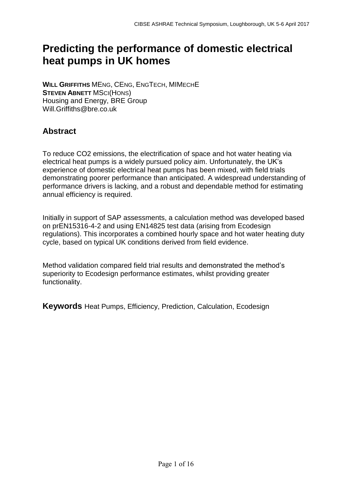# **Predicting the performance of domestic electrical heat pumps in UK homes**

**WILL GRIFFITHS** MENG, CENG, ENGTECH, MIMECHE **STEVEN ABNETT MSCI(HONS)** Housing and Energy, BRE Group Will.Griffiths@bre.co.uk

## **Abstract**

To reduce CO2 emissions, the electrification of space and hot water heating via electrical heat pumps is a widely pursued policy aim. Unfortunately, the UK's experience of domestic electrical heat pumps has been mixed, with field trials demonstrating poorer performance than anticipated. A widespread understanding of performance drivers is lacking, and a robust and dependable method for estimating annual efficiency is required.

Initially in support of SAP assessments, a calculation method was developed based on prEN15316-4-2 and using EN14825 test data (arising from Ecodesign regulations). This incorporates a combined hourly space and hot water heating duty cycle, based on typical UK conditions derived from field evidence.

Method validation compared field trial results and demonstrated the method's superiority to Ecodesign performance estimates, whilst providing greater functionality.

**Keywords** Heat Pumps, Efficiency, Prediction, Calculation, Ecodesign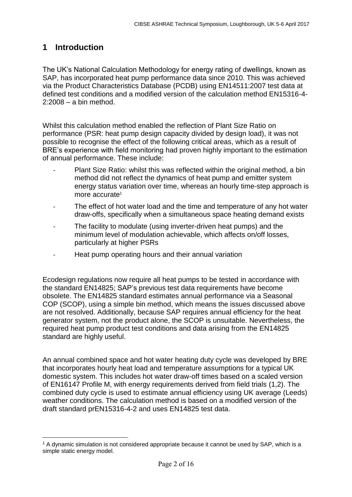#### **1 Introduction**

1

The UK's National Calculation Methodology for energy rating of dwellings, known as SAP, has incorporated heat pump performance data since 2010. This was achieved via the Product Characteristics Database (PCDB) using EN14511:2007 test data at defined test conditions and a modified version of the calculation method EN15316-4-  $2:2008 - a$  bin method.

Whilst this calculation method enabled the reflection of Plant Size Ratio on performance (PSR: heat pump design capacity divided by design load), it was not possible to recognise the effect of the following critical areas, which as a result of BRE's experience with field monitoring had proven highly important to the estimation of annual performance. These include:

- Plant Size Ratio: whilst this was reflected within the original method, a bin method did not reflect the dynamics of heat pump and emitter system energy status variation over time, whereas an hourly time-step approach is more accurate $1$
- <span id="page-1-0"></span>The effect of hot water load and the time and temperature of any hot water draw-offs, specifically when a simultaneous space heating demand exists
- The facility to modulate (using inverter-driven heat pumps) and the minimum level of modulation achievable, which affects on/off losses, particularly at higher PSRs
- Heat pump operating hours and their annual variation

Ecodesign regulations now require all heat pumps to be tested in accordance with the standard EN14825; SAP's previous test data requirements have become obsolete. The EN14825 standard estimates annual performance via a Seasonal COP (SCOP), using a simple bin method, which means the issues discussed above are not resolved. Additionally, because SAP requires annual efficiency for the heat generator system, not the product alone, the SCOP is unsuitable. Nevertheless, the required heat pump product test conditions and data arising from the EN14825 standard are highly useful.

An annual combined space and hot water heating duty cycle was developed by BRE that incorporates hourly heat load and temperature assumptions for a typical UK domestic system. This includes hot water draw-off times based on a scaled version of EN16147 Profile M, with energy requirements derived from field trials (1,2). The combined duty cycle is used to estimate annual efficiency using UK average (Leeds) weather conditions. The calculation method is based on a modified version of the draft standard prEN15316-4-2 and uses EN14825 test data.

<sup>1</sup> A dynamic simulation is not considered appropriate because it cannot be used by SAP, which is a simple static energy model.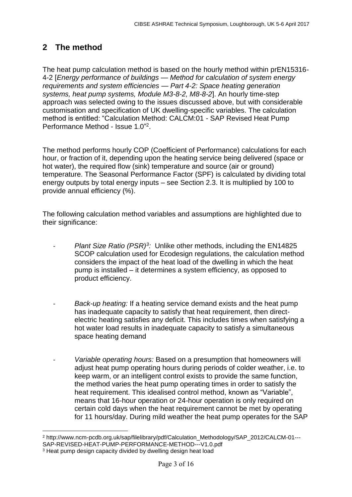## **2 The method**

The heat pump calculation method is based on the hourly method within prEN15316- 4-2 [*Energy performance of buildings — Method for calculation of system energy requirements and system efficiencies — Part 4-2: Space heating generation systems, heat pump systems, Module M3-8-2, M8-8-2*]. An hourly time-step approach was selected owing to the issues discussed above, but with considerable customisation and specification of UK dwelling-specific variables. The calculation method is entitled: "Calculation Method: CALCM:01 - SAP Revised Heat Pump Performance Method - Issue 1.0"<sup>2</sup>.

The method performs hourly COP (Coefficient of Performance) calculations for each hour, or fraction of it, depending upon the heating service being delivered (space or hot water), the required flow (sink) temperature and source (air or ground) temperature. The Seasonal Performance Factor (SPF) is calculated by dividing total energy outputs by total energy inputs – see Section [2.3.](#page-6-0) It is multiplied by 100 to provide annual efficiency (%).

The following calculation method variables and assumptions are highlighted due to their significance:

- *Plant Size Ratio (PSR)<sup>3</sup> :* Unlike other methods, including the EN14825 SCOP calculation used for Ecodesign regulations, the calculation method considers the impact of the heat load of the dwelling in which the heat pump is installed – it determines a system efficiency, as opposed to product efficiency.
- Back-up heating: If a heating service demand exists and the heat pump has inadequate capacity to satisfy that heat requirement, then directelectric heating satisfies any deficit. This includes times when satisfying a hot water load results in inadequate capacity to satisfy a simultaneous space heating demand
- *Variable operating hours:* Based on a presumption that homeowners will adjust heat pump operating hours during periods of colder weather, i.e. to keep warm, or an intelligent control exists to provide the same function, the method varies the heat pump operating times in order to satisfy the heat requirement. This idealised control method, known as "Variable", means that 16-hour operation or 24-hour operation is only required on certain cold days when the heat requirement cannot be met by operating for 11 hours/day. During mild weather the heat pump operates for the SAP

<sup>1</sup> <sup>2</sup> http://www.ncm-pcdb.org.uk/sap/filelibrary/pdf/Calculation\_Methodology/SAP\_2012/CALCM-01--- SAP-REVISED-HEAT-PUMP-PERFORMANCE-METHOD---V1.0.pdf

<sup>&</sup>lt;sup>3</sup> Heat pump design capacity divided by dwelling design heat load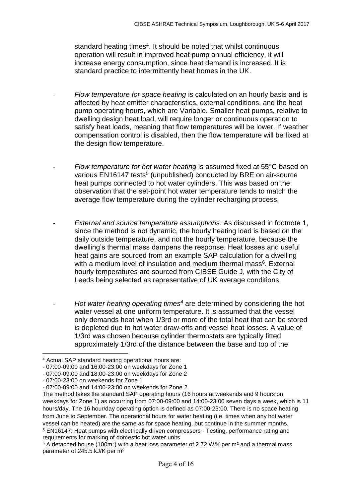<span id="page-3-0"></span>standard heating times<sup>4</sup>. It should be noted that whilst continuous operation will result in improved heat pump annual efficiency, it will increase energy consumption, since heat demand is increased. It is standard practice to intermittently heat homes in the UK.

- Flow temperature for space heating is calculated on an hourly basis and is affected by heat emitter characteristics, external conditions, and the heat pump operating hours, which are Variable. Smaller heat pumps, relative to dwelling design heat load, will require longer or continuous operation to satisfy heat loads, meaning that flow temperatures will be lower. If weather compensation control is disabled, then the flow temperature will be fixed at the design flow temperature.
- *Flow temperature for hot water heating* is assumed fixed at 55°C based on various EN16147 tests<sup>5</sup> (unpublished) conducted by BRE on air-source heat pumps connected to hot water cylinders. This was based on the observation that the set-point hot water temperature tends to match the average flow temperature during the cylinder recharging process.
- *External and source temperature assumptions:* As discussed in footnote [1,](#page-1-0) since the method is not dynamic, the hourly heating load is based on the daily outside temperature, and not the hourly temperature, because the dwelling's thermal mass dampens the response. Heat losses and useful heat gains are sourced from an example SAP calculation for a dwelling with a medium level of insulation and medium thermal mass<sup>6</sup>. External hourly temperatures are sourced from CIBSE Guide J, with the City of Leeds being selected as representative of UK average conditions.
- *Hot water heating operating times[4](#page-3-0)* are determined by considering the hot water vessel at one uniform temperature. It is assumed that the vessel only demands heat when 1/3rd or more of the total heat that can be stored is depleted due to hot water draw-offs and vessel heat losses. A value of 1/3rd was chosen because cylinder thermostats are typically fitted approximately 1/3rd of the distance between the base and top of the

<sup>&</sup>lt;u>.</u> <sup>4</sup> Actual SAP standard heating operational hours are:

<sup>-</sup> 07:00-09:00 and 16:00-23:00 on weekdays for Zone 1

<sup>-</sup> 07:00-09:00 and 18:00-23:00 on weekdays for Zone 2

<sup>-</sup> 07:00-23:00 on weekends for Zone 1

<sup>-</sup> 07:00-09:00 and 14:00-23:00 on weekends for Zone 2

The method takes the standard SAP operating hours (16 hours at weekends and 9 hours on weekdays for Zone 1) as occurring from 07:00-09:00 and 14:00-23:00 seven days a week, which is 11 hours/day. The 16 hour/day operating option is defined as 07:00-23:00. There is no space heating from June to September. The operational hours for water heating (i.e. times when any hot water vessel can be heated) are the same as for space heating, but continue in the summer months. <sup>5</sup> EN16147: Heat pumps with electrically driven compressors - Testing, performance rating and requirements for marking of domestic hot water units

 $6$  A detached house (100m<sup>2</sup>) with a heat loss parameter of 2.72 W/K per m<sup>2</sup> and a thermal mass parameter of 245.5 kJ/K per m²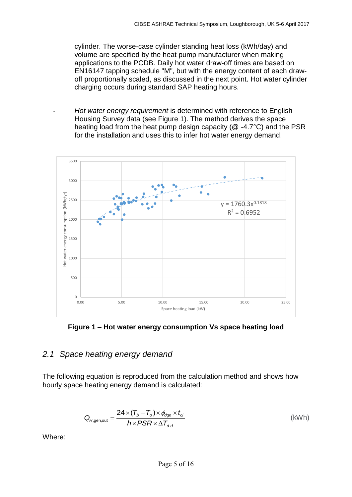cylinder. The worse-case cylinder standing heat loss (kWh/day) and volume are specified by the heat pump manufacturer when making applications to the PCDB. Daily hot water draw-off times are based on EN16147 tapping schedule "M", but with the energy content of each drawoff proportionally scaled, as discussed in the next point. Hot water cylinder charging occurs during standard SAP heating hours.

- *Hot water energy requirement* is determined with reference to English Housing Survey data (see Figure 1). The method derives the space heating load from the heat pump design capacity (@ -4.7°C) and the PSR for the installation and uses this to infer hot water energy demand.



**Figure 1 – Hot water energy consumption Vs space heating load**

#### *2.1 Space heating energy demand*

The following equation is reproduced from the calculation method and shows how hourly space heating energy demand is calculated:

$$
Q_{H,gen,out} = \frac{24 \times (T_b - T_c) \times \phi_{dgn} \times t_{ci}}{h \times PSR \times \Delta T_{d,d}}
$$
 (kWh)

Where: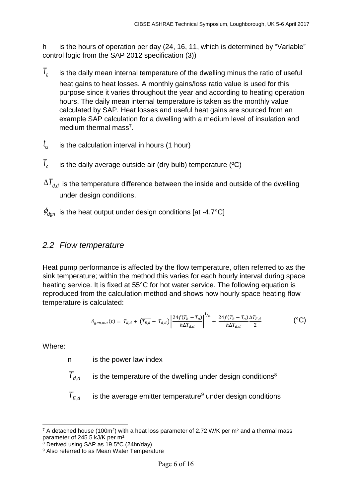h is the hours of operation per day (24, 16, 11, which is determined by "Variable" control logic from the SAP 2012 specification (3))

- $T_{h}$ is the daily mean internal temperature of the dwelling minus the ratio of useful heat gains to heat losses. A monthly gains/loss ratio value is used for this purpose since it varies throughout the year and according to heating operation hours. The daily mean internal temperature is taken as the monthly value calculated by SAP. Heat losses and useful heat gains are sourced from an example SAP calculation for a dwelling with a medium level of insulation and medium thermal mass<sup>7</sup>.
- $t_{ci}$ is the calculation interval in hours (1 hour)
- $T_{\alpha}$ is the daily average outside air (dry bulb) temperature (ºC)
- $\Delta\mathcal{T}_{d,d}$  is the temperature difference between the inside and outside of the dwelling under design conditions.
- $\phi_{\textit{dgn}}$  is the heat output under design conditions [at -4.7°C]

#### *2.2 Flow temperature*

Heat pump performance is affected by the flow temperature, often referred to as the sink temperature; within the method this varies for each hourly interval during space heating service. It is fixed at 55°C for hot water service. The following equation is reproduced from the calculation method and shows how hourly space heating flow temperature is calculated:

$$
\vartheta_{gen,out}(t) = T_{d,d} + \left(\overline{T_{E,d}} - T_{d,d}\right) \left[\frac{24f(T_b - T_o)}{h\Delta T_{d,d}}\right]^{1/n} + \frac{24f(T_b - T_o)}{h\Delta T_{d,d}} \frac{\Delta T_{E,d}}{2}
$$
 (°C)

Where:

n is the power law index

 $T_{dd}$ is the temperature of the dwelling under design conditions $8$ 

 $\bar{\mathcal{T}}_{E,d}$ is the average emitter temperature $9$  under design conditions

<sup>8</sup> Derived using SAP as 19.5°C (24hr/day)

<sup>1</sup> <sup>7</sup> A detached house (100m<sup>2</sup>) with a heat loss parameter of 2.72 W/K per m<sup>2</sup> and a thermal mass parameter of 245.5 kJ/K per m²

<sup>&</sup>lt;sup>9</sup> Also referred to as Mean Water Temperature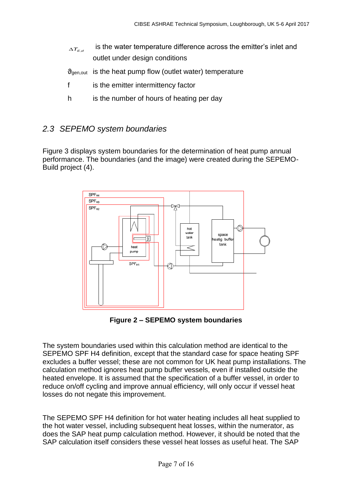- is the water temperature difference across the emitter's inlet and outlet under design conditions
- $\vartheta_{gen,out}$  is the heat pump flow (outlet water) temperature
- f is the emitter intermittency factor
- h is the number of hours of heating per day

## <span id="page-6-0"></span>*2.3 SEPEMO system boundaries*

Figure 3 displays system boundaries for the determination of heat pump annual performance. The boundaries (and the image) were created during the SEPEMO-Build project (4).



**Figure 2 – SEPEMO system boundaries**

The system boundaries used within this calculation method are identical to the SEPEMO SPF H4 definition, except that the standard case for space heating SPF excludes a buffer vessel; these are not common for UK heat pump installations. The calculation method ignores heat pump buffer vessels, even if installed outside the heated envelope. It is assumed that the specification of a buffer vessel, in order to reduce on/off cycling and improve annual efficiency, will only occur if vessel heat losses do not negate this improvement.

The SEPEMO SPF H4 definition for hot water heating includes all heat supplied to the hot water vessel, including subsequent heat losses, within the numerator, as does the SAP heat pump calculation method. However, it should be noted that the SAP calculation itself considers these vessel heat losses as useful heat. The SAP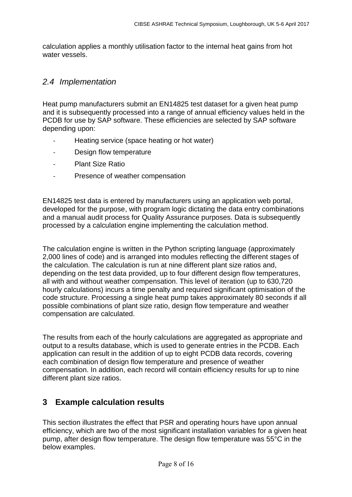calculation applies a monthly utilisation factor to the internal heat gains from hot water vessels.

#### *2.4 Implementation*

Heat pump manufacturers submit an EN14825 test dataset for a given heat pump and it is subsequently processed into a range of annual efficiency values held in the PCDB for use by SAP software. These efficiencies are selected by SAP software depending upon:

- Heating service (space heating or hot water)
- Design flow temperature
- Plant Size Ratio
- Presence of weather compensation

EN14825 test data is entered by manufacturers using an application web portal, developed for the purpose, with program logic dictating the data entry combinations and a manual audit process for Quality Assurance purposes. Data is subsequently processed by a calculation engine implementing the calculation method.

The calculation engine is written in the Python scripting language (approximately 2,000 lines of code) and is arranged into modules reflecting the different stages of the calculation. The calculation is run at nine different plant size ratios and, depending on the test data provided, up to four different design flow temperatures, all with and without weather compensation. This level of iteration (up to 630,720 hourly calculations) incurs a time penalty and required significant optimisation of the code structure. Processing a single heat pump takes approximately 80 seconds if all possible combinations of plant size ratio, design flow temperature and weather compensation are calculated.

The results from each of the hourly calculations are aggregated as appropriate and output to a results database, which is used to generate entries in the PCDB. Each application can result in the addition of up to eight PCDB data records, covering each combination of design flow temperature and presence of weather compensation. In addition, each record will contain efficiency results for up to nine different plant size ratios.

## **3 Example calculation results**

This section illustrates the effect that PSR and operating hours have upon annual efficiency, which are two of the most significant installation variables for a given heat pump, after design flow temperature. The design flow temperature was 55°C in the below examples.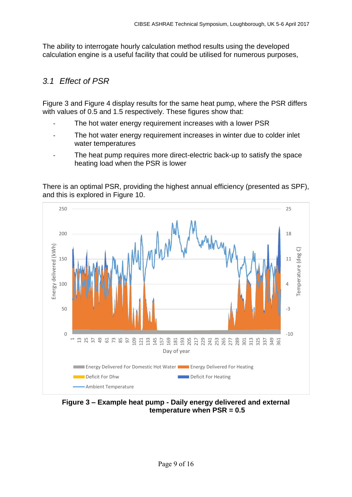The ability to interrogate hourly calculation method results using the developed calculation engine is a useful facility that could be utilised for numerous purposes,

#### *3.1 Effect of PSR*

[Figure 3](#page-8-0) and [Figure 4](#page-9-0) display results for the same heat pump, where the PSR differs with values of 0.5 and 1.5 respectively. These figures show that:

- The hot water energy requirement increases with a lower PSR
- The hot water energy requirement increases in winter due to colder inlet water temperatures
- The heat pump requires more direct-electric back-up to satisfy the space heating load when the PSR is lower

There is an optimal PSR, providing the highest annual efficiency (presented as SPF), and this is explored in [Figure 10.](#page-14-0)



<span id="page-8-0"></span>**Figure 3 – Example heat pump - Daily energy delivered and external temperature when PSR = 0.5**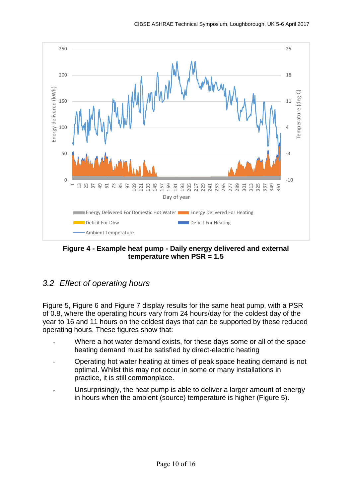

<span id="page-9-0"></span>**Figure 4 - Example heat pump - Daily energy delivered and external temperature when PSR = 1.5**

## *3.2 Effect of operating hours*

[Figure 5,](#page-10-0) [Figure 6](#page-10-1) and [Figure 7](#page-11-0) display results for the same heat pump, with a PSR of 0.8, where the operating hours vary from 24 hours/day for the coldest day of the year to 16 and 11 hours on the coldest days that can be supported by these reduced operating hours. These figures show that:

- Where a hot water demand exists, for these days some or all of the space heating demand must be satisfied by direct-electric heating
- Operating hot water heating at times of peak space heating demand is not optimal. Whilst this may not occur in some or many installations in practice, it is still commonplace.
- Unsurprisingly, the heat pump is able to deliver a larger amount of energy in hours when the ambient (source) temperature is higher (Figure 5).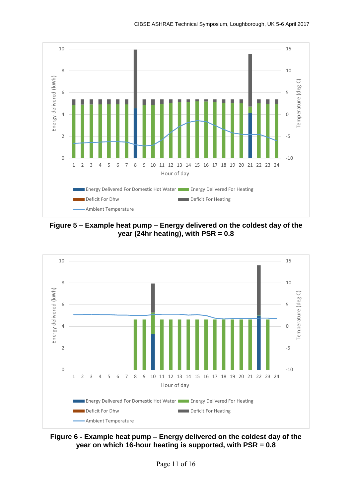

<span id="page-10-0"></span>**Figure 5 – Example heat pump – Energy delivered on the coldest day of the year (24hr heating), with PSR = 0.8**



<span id="page-10-1"></span>**Figure 6 - Example heat pump – Energy delivered on the coldest day of the year on which 16-hour heating is supported, with PSR = 0.8**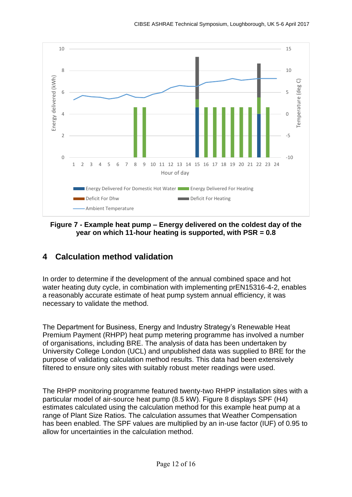

<span id="page-11-0"></span>**Figure 7 - Example heat pump – Energy delivered on the coldest day of the year on which 11-hour heating is supported, with PSR = 0.8**

#### **4 Calculation method validation**

In order to determine if the development of the annual combined space and hot water heating duty cycle, in combination with implementing prEN15316-4-2, enables a reasonably accurate estimate of heat pump system annual efficiency, it was necessary to validate the method.

The Department for Business, Energy and Industry Strategy's Renewable Heat Premium Payment (RHPP) heat pump metering programme has involved a number of organisations, including BRE. The analysis of data has been undertaken by University College London (UCL) and unpublished data was supplied to BRE for the purpose of validating calculation method results. This data had been extensively filtered to ensure only sites with suitably robust meter readings were used.

The RHPP monitoring programme featured twenty-two RHPP installation sites with a particular model of air-source heat pump (8.5 kW). [Figure 8](#page-12-0) displays SPF (H4) estimates calculated using the calculation method for this example heat pump at a range of Plant Size Ratios. The calculation assumes that Weather Compensation has been enabled. The SPF values are multiplied by an in-use factor (IUF) of 0.95 to allow for uncertainties in the calculation method.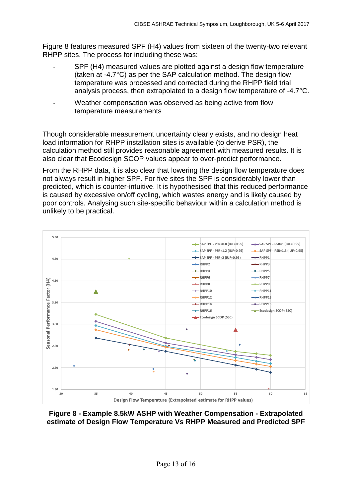[Figure 8](#page-12-0) features measured SPF (H4) values from sixteen of the twenty-two relevant RHPP sites. The process for including these was:

- SPF (H4) measured values are plotted against a design flow temperature (taken at -4.7°C) as per the SAP calculation method. The design flow temperature was processed and corrected during the RHPP field trial analysis process, then extrapolated to a design flow temperature of -4.7°C.
- Weather compensation was observed as being active from flow temperature measurements

Though considerable measurement uncertainty clearly exists, and no design heat load information for RHPP installation sites is available (to derive PSR), the calculation method still provides reasonable agreement with measured results. It is also clear that Ecodesign SCOP values appear to over-predict performance.

From the RHPP data, it is also clear that lowering the design flow temperature does not always result in higher SPF. For five sites the SPF is considerably lower than predicted, which is counter-intuitive. It is hypothesised that this reduced performance is caused by excessive on/off cycling, which wastes energy and is likely caused by poor controls. Analysing such site-specific behaviour within a calculation method is unlikely to be practical.



<span id="page-12-0"></span>**Figure 8 - Example 8.5kW ASHP with Weather Compensation - Extrapolated estimate of Design Flow Temperature Vs RHPP Measured and Predicted SPF**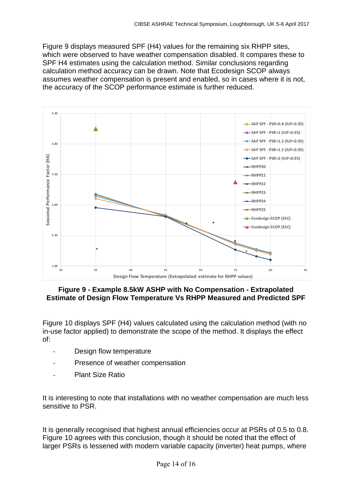[Figure 9](#page-13-0) displays measured SPF (H4) values for the remaining six RHPP sites, which were observed to have weather compensation disabled. It compares these to SPF H4 estimates using the calculation method. Similar conclusions regarding calculation method accuracy can be drawn. Note that Ecodesign SCOP always assumes weather compensation is present and enabled, so in cases where it is not, the accuracy of the SCOP performance estimate is further reduced.



<span id="page-13-0"></span>**Figure 9 - Example 8.5kW ASHP with No Compensation - Extrapolated Estimate of Design Flow Temperature Vs RHPP Measured and Predicted SPF**

[Figure 10](#page-14-0) displays SPF (H4) values calculated using the calculation method (with no in-use factor applied) to demonstrate the scope of the method. It displays the effect of:

- Design flow temperature
- Presence of weather compensation
- Plant Size Ratio

It is interesting to note that installations with no weather compensation are much less sensitive to PSR.

It is generally recognised that highest annual efficiencies occur at PSRs of 0.5 to 0.8. [Figure 10](#page-14-0) agrees with this conclusion, though it should be noted that the effect of larger PSRs is lessened with modern variable capacity (inverter) heat pumps, where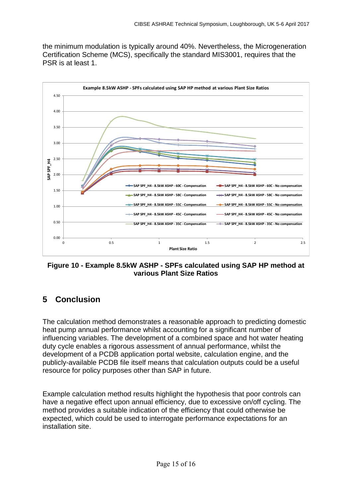the minimum modulation is typically around 40%. Nevertheless, the Microgeneration Certification Scheme (MCS), specifically the standard MIS3001, requires that the PSR is at least 1.



<span id="page-14-0"></span>**Figure 10 - Example 8.5kW ASHP - SPFs calculated using SAP HP method at various Plant Size Ratios**

## **5 Conclusion**

The calculation method demonstrates a reasonable approach to predicting domestic heat pump annual performance whilst accounting for a significant number of influencing variables. The development of a combined space and hot water heating duty cycle enables a rigorous assessment of annual performance, whilst the development of a PCDB application portal website, calculation engine, and the publicly-available PCDB file itself means that calculation outputs could be a useful resource for policy purposes other than SAP in future.

Example calculation method results highlight the hypothesis that poor controls can have a negative effect upon annual efficiency, due to excessive on/off cycling. The method provides a suitable indication of the efficiency that could otherwise be expected, which could be used to interrogate performance expectations for an installation site.